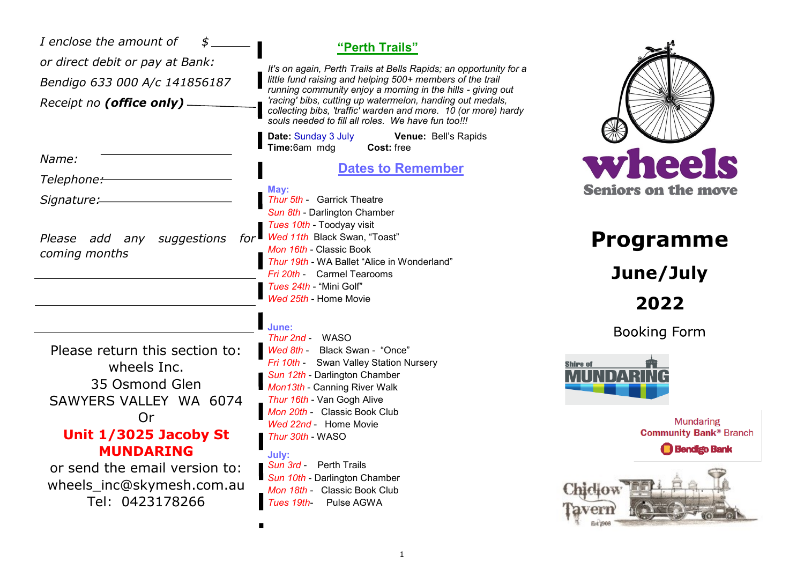| I enclose the amount of<br>or direct debit or pay at Bank:<br>Bendigo 633 000 A/c 141856187<br>Receipt no (office only) -                                                                                                     | "Perth Trails"<br>It's on again, Perth Trails at Bells Rapids; an opportunity for a<br>little fund raising and helping 500+ members of the trail<br>running community enjoy a morning in the hills - giving out<br>'racing' bibs, cutting up watermelon, handing out medals,<br>collecting bibs, 'traffic' warden and more. 10 (or more) hardy<br>souls needed to fill all roles. We have fun too!!!<br><b>Date: Sunday 3 July</b><br>Venue: Bell's Rapids |                                                                                                                                                           |
|-------------------------------------------------------------------------------------------------------------------------------------------------------------------------------------------------------------------------------|------------------------------------------------------------------------------------------------------------------------------------------------------------------------------------------------------------------------------------------------------------------------------------------------------------------------------------------------------------------------------------------------------------------------------------------------------------|-----------------------------------------------------------------------------------------------------------------------------------------------------------|
| Name:<br>Telephone:-<br>Signature:                                                                                                                                                                                            | Time:6am mdg<br>Cost: free<br><b>Dates to Remember</b><br>May:<br><b>Thur 5th - Garrick Theatre</b><br>Sun 8th - Darlington Chamber<br>Tues 10th - Toodyay visit                                                                                                                                                                                                                                                                                           | wheels<br><b>Seniors on the move</b>                                                                                                                      |
| Please add any suggestions<br>for<br>coming months                                                                                                                                                                            | Wed 11th Black Swan, "Toast"<br>Mon 16th - Classic Book<br>Thur 19th - WA Ballet "Alice in Wonderland"<br>Fri 20th - Carmel Tearooms<br>Tues 24th - "Mini Golf"<br>Wed 25th - Home Movie                                                                                                                                                                                                                                                                   | <b>Programme</b><br>June/July<br>2022                                                                                                                     |
| Please return this section to:<br>wheels Inc.<br>35 Osmond Glen<br>SAWYERS VALLEY WA 6074<br>Or<br>Unit 1/3025 Jacoby St<br><b>MUNDARING</b><br>or send the email version to:<br>wheels_inc@skymesh.com.au<br>Tel: 0423178266 | June:<br>Thur 2nd - WASO<br>Wed 8th - Black Swan - "Once"<br>Fri 10th - Swan Valley Station Nursery<br>Sun 12th - Darlington Chamber<br>Mon13th - Canning River Walk<br>Thur 16th - Van Gogh Alive<br>Mon 20th - Classic Book Club<br>Wed 22nd - Home Movie<br>Thur 30th - WASO<br>July:<br>Sun 3rd -<br><b>Perth Trails</b><br>Sun 10th - Darlington Chamber<br>Mon 18th - Classic Book Club<br>Pulse AGWA<br>Tues 19th-                                  | <b>Booking Form</b><br><b>Shire of</b><br><b>Mundaring</b><br><b>Community Bank® Branch</b><br><b>Bendigo Bank</b><br><b>Chiclow</b><br>lavern<br>Est 290 |